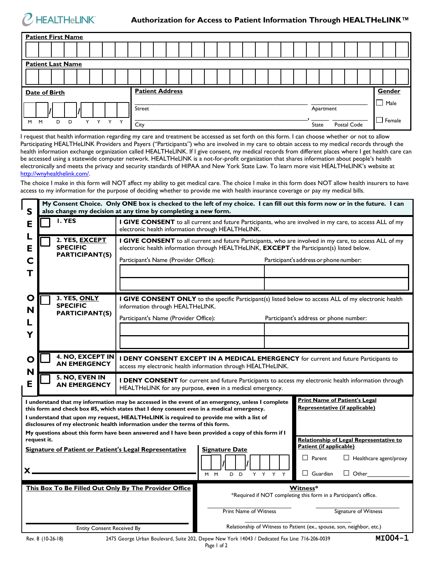

| <b>Patient First Name</b>                       |        |                      |             |  |  |  |  |  |
|-------------------------------------------------|--------|----------------------|-------------|--|--|--|--|--|
|                                                 |        |                      |             |  |  |  |  |  |
| <b>Patient Last Name</b>                        |        |                      |             |  |  |  |  |  |
|                                                 |        |                      |             |  |  |  |  |  |
| <b>Patient Address</b><br><b>Date of Birth</b>  |        |                      |             |  |  |  |  |  |
|                                                 | Street | Apartment            | Male        |  |  |  |  |  |
| Y<br>Y<br>Y<br>$\checkmark$<br>M<br>M<br>D<br>D | City   | Postal Code<br>State | Female<br>ட |  |  |  |  |  |

I request that health information regarding my care and treatment be accessed as set forth on this form. I can choose whether or not to allow Participating HEALTHeLINK Providers and Payers ("Participants") who are involved in my care to obtain access to my medical records through the health information exchange organization called HEALTHeLINK. If I give consent, my medical records from different places where I get health care can be accessed using a statewide computer network. HEALTHeLINK is a not-for-profit organization that shares information about people's health electronically and meets the privacy and security standards of HIPAA and New York State Law. To learn more visit HEALTHeLINK's website at [http://wnyhealthelink.com/.](http://wnyhealthelink.com/)

The choice I make in this form will NOT affect my ability to get medical care. The choice I make in this form does NOT allow health insurers to have access to my information for the purpose of deciding whether to provide me with health insurance coverage or pay my medical bills.

| S                                                                                                                                                                                                                                                                                                                                                                                                                                                                                                                                                        | My Consent Choice. Only ONE box is checked to the left of my choice. I can fill out this form now or in the future. I can<br>also change my decision at any time by completing a new form. |                                                                                                                                                                                                       |                                                                              |         |                                                                                   |  |
|----------------------------------------------------------------------------------------------------------------------------------------------------------------------------------------------------------------------------------------------------------------------------------------------------------------------------------------------------------------------------------------------------------------------------------------------------------------------------------------------------------------------------------------------------------|--------------------------------------------------------------------------------------------------------------------------------------------------------------------------------------------|-------------------------------------------------------------------------------------------------------------------------------------------------------------------------------------------------------|------------------------------------------------------------------------------|---------|-----------------------------------------------------------------------------------|--|
| Е                                                                                                                                                                                                                                                                                                                                                                                                                                                                                                                                                        | I. YES                                                                                                                                                                                     | I GIVE CONSENT to all current and future Participants, who are involved in my care, to access ALL of my<br>electronic health information through HEALTHeLINK.                                         |                                                                              |         |                                                                                   |  |
| E                                                                                                                                                                                                                                                                                                                                                                                                                                                                                                                                                        | 2. YES, EXCEPT<br><b>SPECIFIC</b>                                                                                                                                                          | I GIVE CONSENT to all current and future Participants, who are involved in my care, to access ALL of my<br>electronic health information through HEALTHeLINK, EXCEPT the Participant(s) listed below. |                                                                              |         |                                                                                   |  |
| C<br>Т                                                                                                                                                                                                                                                                                                                                                                                                                                                                                                                                                   | <b>PARTICIPANT(S)</b>                                                                                                                                                                      | Participant's Name (Provider Office):                                                                                                                                                                 |                                                                              |         | Participant's address or phone number:                                            |  |
|                                                                                                                                                                                                                                                                                                                                                                                                                                                                                                                                                          |                                                                                                                                                                                            |                                                                                                                                                                                                       |                                                                              |         |                                                                                   |  |
| O<br>N                                                                                                                                                                                                                                                                                                                                                                                                                                                                                                                                                   | 3. YES, ONLY<br><b>SPECIFIC</b><br><b>PARTICIPANT(S)</b>                                                                                                                                   | I GIVE CONSENT ONLY to the specific Participant(s) listed below to access ALL of my electronic health<br>information through HEALTHeLINK.                                                             |                                                                              |         |                                                                                   |  |
|                                                                                                                                                                                                                                                                                                                                                                                                                                                                                                                                                          |                                                                                                                                                                                            | Participant's Name (Provider Office):                                                                                                                                                                 |                                                                              |         | Participant's address or phone number:                                            |  |
|                                                                                                                                                                                                                                                                                                                                                                                                                                                                                                                                                          |                                                                                                                                                                                            |                                                                                                                                                                                                       |                                                                              |         |                                                                                   |  |
| O<br>N                                                                                                                                                                                                                                                                                                                                                                                                                                                                                                                                                   | 4. NO, EXCEPT IN<br><b>AN EMERGENCY</b>                                                                                                                                                    | I DENY CONSENT EXCEPT IN A MEDICAL EMERGENCY for current and future Participants to<br>access my electronic health information through HEALTHeLINK.                                                   |                                                                              |         |                                                                                   |  |
| E                                                                                                                                                                                                                                                                                                                                                                                                                                                                                                                                                        | 5. NO, EVEN IN<br><b>AN EMERGENCY</b>                                                                                                                                                      | I DENY CONSENT for current and future Participants to access my electronic health information through<br>HEALTHeLINK for any purpose, even in a medical emergency.                                    |                                                                              |         |                                                                                   |  |
| <b>Print Name of Patient's Legal</b><br>I understand that my information may be accessed in the event of an emergency, unless I complete<br>Representative (if applicable)<br>this form and check box #5, which states that I deny consent even in a medical emergency.<br>I understand that upon my request, HEALTHeLINK is required to provide me with a list of<br>disclosures of my electronic health information under the terms of this form.<br>My questions about this form have been answered and I have been provided a copy of this form if I |                                                                                                                                                                                            |                                                                                                                                                                                                       |                                                                              |         |                                                                                   |  |
| request it.<br>Signature of Patient or Patient's Legal Representative                                                                                                                                                                                                                                                                                                                                                                                                                                                                                    |                                                                                                                                                                                            |                                                                                                                                                                                                       | <b>Signature Date</b>                                                        |         | Relationship of Legal Representative to<br>Patient (if applicable)                |  |
| $\mathsf{x}_-$                                                                                                                                                                                                                                                                                                                                                                                                                                                                                                                                           |                                                                                                                                                                                            |                                                                                                                                                                                                       | M M<br>D <sub>D</sub>                                                        | Y Y Y Y | $\Box$ Healthcare agent/proxy<br>$\Box$ Parent<br>$\Box$ Guardian<br>$\Box$ Other |  |
| This Box To Be Filled Out Only By The Provider Office                                                                                                                                                                                                                                                                                                                                                                                                                                                                                                    |                                                                                                                                                                                            |                                                                                                                                                                                                       | Witness*<br>*Required if NOT completing this form in a Participant's office. |         |                                                                                   |  |
|                                                                                                                                                                                                                                                                                                                                                                                                                                                                                                                                                          |                                                                                                                                                                                            |                                                                                                                                                                                                       | Print Name of Witness                                                        |         | Signature of Witness                                                              |  |
| <b>Entity Consent Received By</b>                                                                                                                                                                                                                                                                                                                                                                                                                                                                                                                        |                                                                                                                                                                                            |                                                                                                                                                                                                       | Relationship of Witness to Patient (ex., spouse, son, neighbor, etc.)        |         |                                                                                   |  |